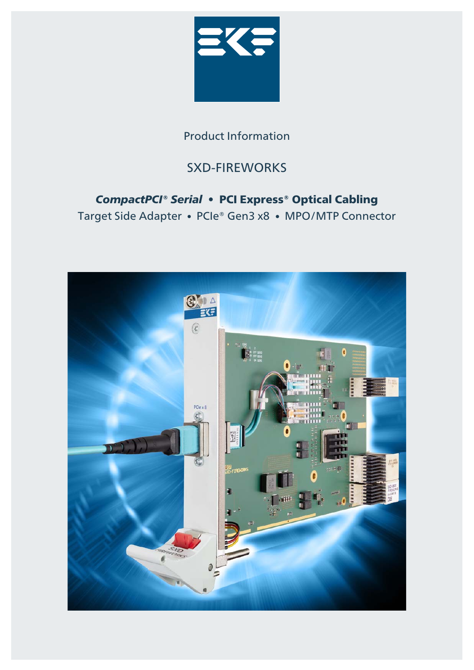

### Product Information

## SXD-FIREWORKS

## CompactPCI® Serial • PCI Express® Optical Cabling Target Side Adapter • PCIe® Gen3 x8 • MPO/MTP Connector

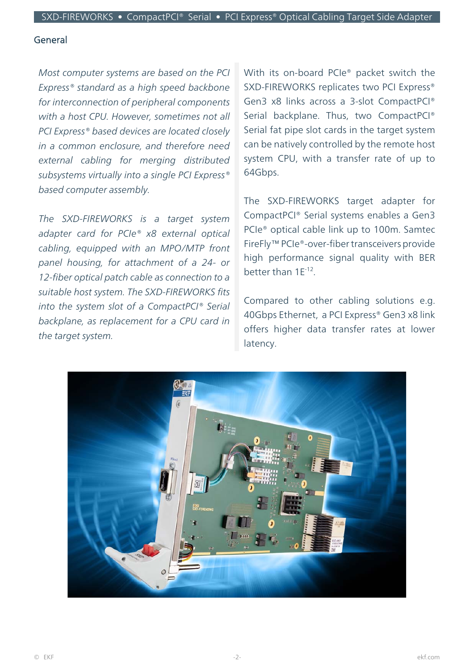#### General

Most computer systems are based on the PCI Express® standard as a high speed backbone for interconnection of peripheral components with a host CPU. However, sometimes not all PCI Express® based devices are located closely in a common enclosure, and therefore need external cabling for merging distributed subsystems virtually into a single PCI Express<sup>®</sup> based computer assembly.

The SXD-FIREWORKS is a target system adapter card for PCIe® x8 external optical cabling, equipped with an MPO/MTP front panel housing, for attachment of a 24- or 12-fiber optical patch cable as connection to a suitable host system. The SXD-FIREWORKS fits into the system slot of a CompactPCI® Serial backplane, as replacement for a CPU card in the target system.

With its on-board PCIe® packet switch the SXD-FIREWORKS replicates two PCI Express® Gen3 x8 links across a 3-slot CompactPCI® Serial backplane. Thus, two CompactPCI® Serial fat pipe slot cards in the target system can be natively controlled by the remote host system CPU, with a transfer rate of up to 64Gbps.

The SXD-FIREWORKS target adapter for CompactPCI® Serial systems enables a Gen3 PCIe® optical cable link up to 100m. Samtec FireFly™ PCIe®-over-fiber transceivers provide high performance signal quality with BER better than 1E<sup>-12</sup>.

Compared to other cabling solutions e.g. 40Gbps Ethernet, a PCI Express® Gen3 x8 link offers higher data transfer rates at lower latency.

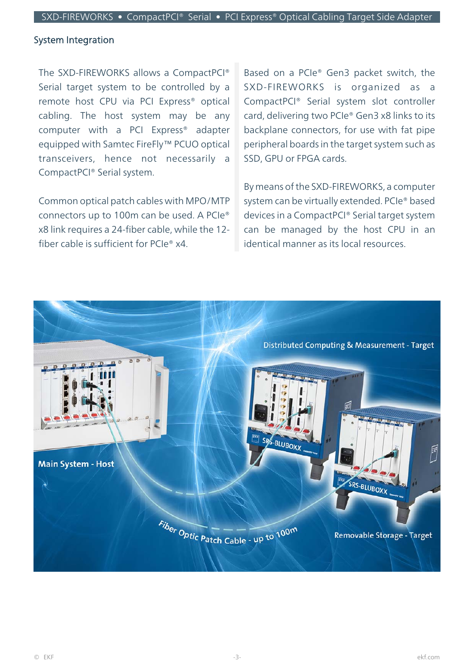#### SXD-FIREWORKS • CompactPCI® Serial • PCI Express® Optical Cabling Target Side Adapter

#### System Integration

The SXD-FIREWORKS allows a CompactPCI® Serial target system to be controlled by a remote host CPU via PCI Express® optical cabling. The host system may be any computer with a PCI Express® adapter equipped with Samtec FireFly™ PCUO optical transceivers, hence not necessarily a CompactPCI® Serial system.

Common optical patch cables with MPO/MTP connectors up to 100m can be used. A PCIe® x8 link requires a 24-fiber cable, while the 12 fiber cable is sufficient for PCIe® x4.

Based on a PCIe® Gen3 packet switch, the SXD-FIREWORKS is organized as a CompactPCI® Serial system slot controller card, delivering two PCIe® Gen3 x8 links to its backplane connectors, for use with fat pipe peripheral boards in the target system such as SSD, GPU or FPGA cards.

By means of the SXD-FIREWORKS, a computer system can be virtually extended. PCIe® based devices in a CompactPCI® Serial target system can be managed by the host CPU in an identical manner as its local resources.

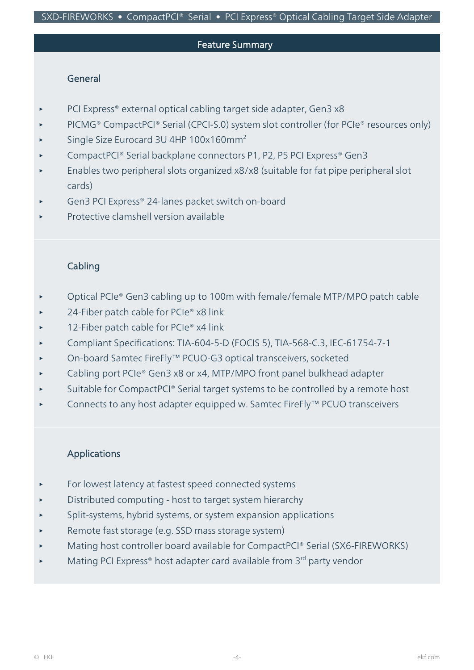#### Feature Summary

#### General

- $\triangleright$  PCI Express<sup>®</sup> external optical cabling target side adapter, Gen3 x8
- PICMG<sup>®</sup> CompactPCI<sup>®</sup> Serial (CPCI-S.0) system slot controller (for PCIe<sup>®</sup> resources only)
- Single Size Eurocard 3U 4HP 100x160mm<sup>2</sup>
- CompactPCI® Serial backplane connectors P1, P2, P5 PCI Express® Gen3
- < Enables two peripheral slots organized x8/x8 (suitable for fat pipe peripheral slot cards)
- < Gen3 PCI Express® 24-lanes packet switch on-board
- < Protective clamshell version available

#### Cabling

- < Optical PCIe® Gen3 cabling up to 100m with female/female MTP/MPO patch cable
- 24-Fiber patch cable for PCIe® x8 link
- 12-Fiber patch cable for PCIe® x4 link
- < Compliant Specifications: TIA-604-5-D (FOCIS 5), TIA-568-C.3, IEC-61754-7-1
- < On-board Samtec FireFly™ PCUO-G3 optical transceivers, socketed
- Cabling port PCIe® Gen3 x8 or x4, MTP/MPO front panel bulkhead adapter
- ► Suitable for CompactPCI® Serial target systems to be controlled by a remote host
- < Connects to any host adapter equipped w. Samtec FireFly™ PCUO transceivers

#### Applications

- For lowest latency at fastest speed connected systems
- < Distributed computing host to target system hierarchy
- Split-systems, hybrid systems, or system expansion applications
- Remote fast storage (e.g. SSD mass storage system)
- Mating host controller board available for CompactPCI® Serial (SX6-FIREWORKS)
- Mating PCI Express<sup>®</sup> host adapter card available from 3<sup>rd</sup> party vendor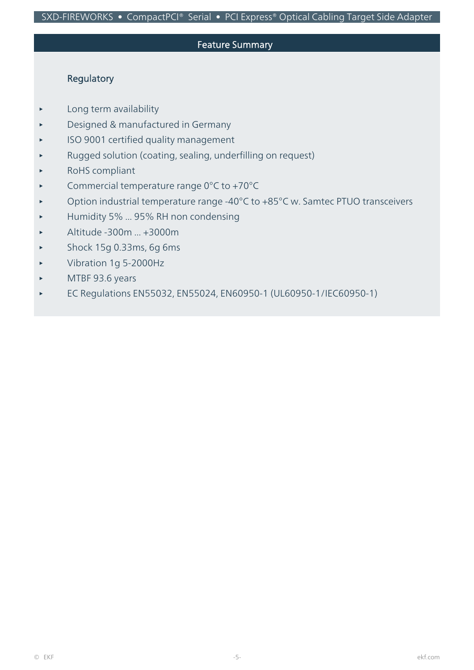#### Feature Summary

#### Regulatory

- **Long term availability**
- Designed & manufactured in Germany
- < ISO 9001 certified quality management
- < Rugged solution (coating, sealing, underfilling on request)
- < RoHS compliant
- $\triangleright$  Commercial temperature range  $0^{\circ}$ C to +70 $^{\circ}$ C
- ▶ Option industrial temperature range -40°C to +85°C w. Samtec PTUO transceivers
- < Humidity 5% ... 95% RH non condensing
- < Altitude -300m ... +3000m
- $\blacktriangleright$  Shock 15g 0.33ms, 6g 6ms
- < Vibration 1g 5-2000Hz
- MTBF 93.6 years
- ► EC Regulations EN55032, EN55024, EN60950-1 (UL60950-1/IEC60950-1)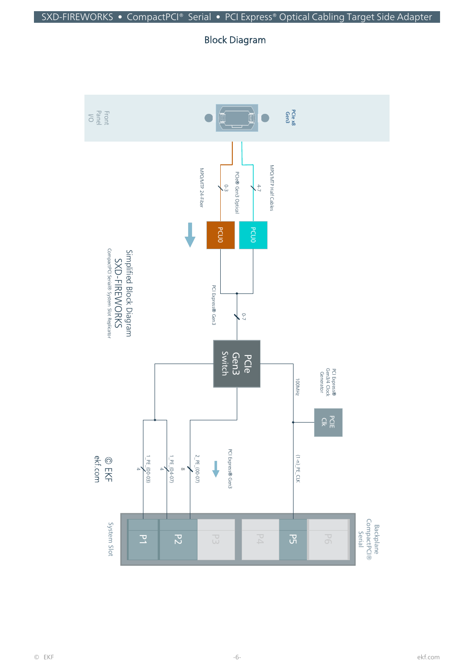Block Diagram

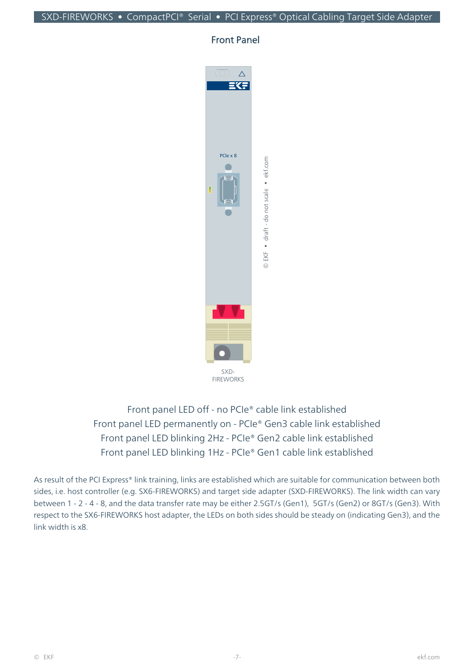#### Front Panel



Front panel LED off - no PCIe® cable link established Front panel LED permanently on - PCIe® Gen3 cable link established Front panel LED blinking 2Hz - PCIe® Gen2 cable link established Front panel LED blinking 1Hz - PCIe® Gen1 cable link established

As result of the PCI Express® link training, links are established which are suitable for communication between both sides, i.e. host controller (e.g. SX6-FIREWORKS) and target side adapter (SXD-FIREWORKS). The link width can vary between 1 - 2 - 4 - 8, and the data transfer rate may be either 2.5GT/s (Gen1), 5GT/s (Gen2) or 8GT/s (Gen3). With respect to the SX6-FIREWORKS host adapter, the LEDs on both sides should be steady on (indicating Gen3), and the link width is x8.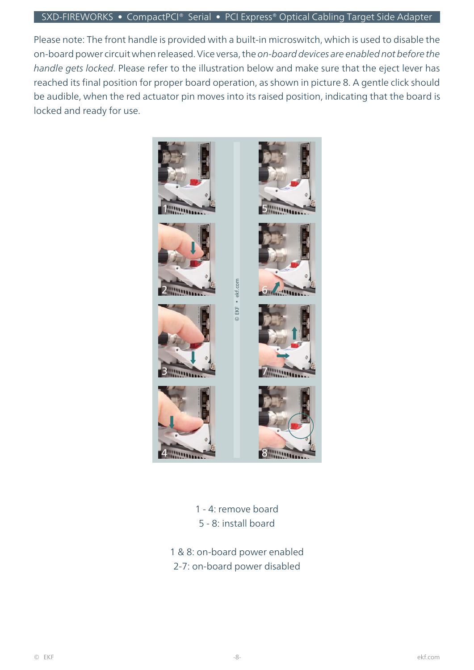#### SXD-FIREWORKS • CompactPCI® Serial • PCI Express® Optical Cabling Target Side Adapter

Please note: The front handle is provided with a built-in microswitch, which is used to disable the on-board power circuit when released. Vice versa, the on-board devices are enabled not before the handle gets locked. Please refer to the illustration below and make sure that the eject lever has reached its final position for proper board operation, as shown in picture 8. A gentle click should be audible, when the red actuator pin moves into its raised position, indicating that the board is locked and ready for use.



- 1 4: remove board 5 - 8: install board
- 1 & 8: on-board power enabled 2-7: on-board power disabled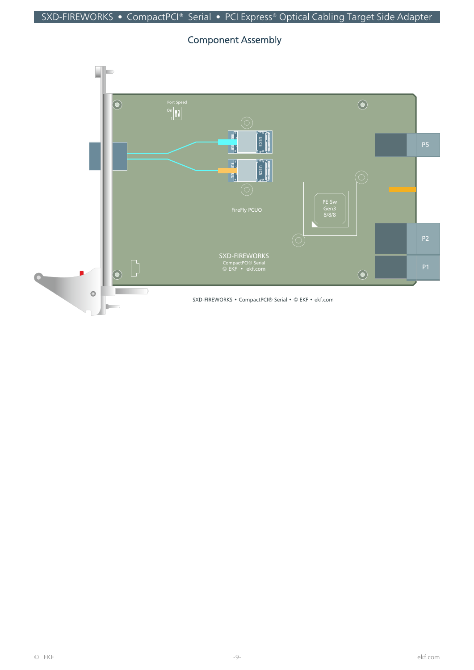

Component Assembly

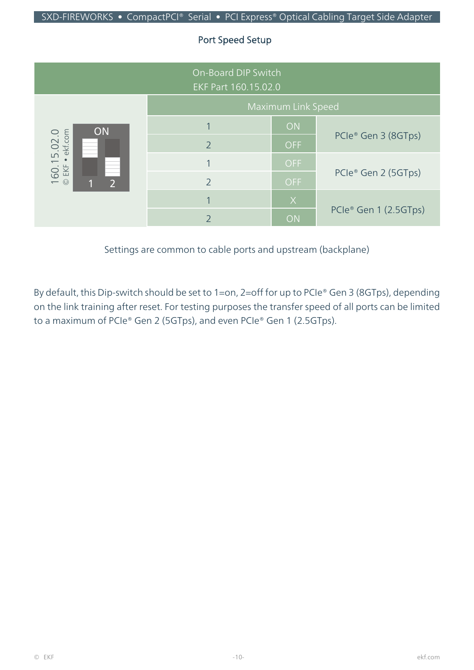#### Port Speed Setup

| On-Board DIP Switch<br>EKF Part 160.15.02.0 |                |                    |                                   |  |  |  |  |  |
|---------------------------------------------|----------------|--------------------|-----------------------------------|--|--|--|--|--|
|                                             |                | Maximum Link Speed |                                   |  |  |  |  |  |
| <b>ON</b>                                   |                | ON                 |                                   |  |  |  |  |  |
|                                             | $\overline{2}$ | <b>OFF</b>         | PCIe <sup>®</sup> Gen 3 (8GTps)   |  |  |  |  |  |
| 160.15.02.0<br>© EKF • ekf.com              |                | OFF                |                                   |  |  |  |  |  |
| $\odot$<br>$\overline{2}$                   | $\mathcal{P}$  | <b>OFF</b>         | PCIe <sup>®</sup> Gen 2 (5GTps)   |  |  |  |  |  |
|                                             |                | X                  |                                   |  |  |  |  |  |
|                                             |                | ON                 | PCIe <sup>®</sup> Gen 1 (2.5GTps) |  |  |  |  |  |

Settings are common to cable ports and upstream (backplane)

By default, this Dip-switch should be set to 1=on, 2=off for up to PCIe® Gen 3 (8GTps), depending on the link training after reset. For testing purposes the transfer speed of all ports can be limited to a maximum of PCIe® Gen 2 (5GTps), and even PCIe® Gen 1 (2.5GTps).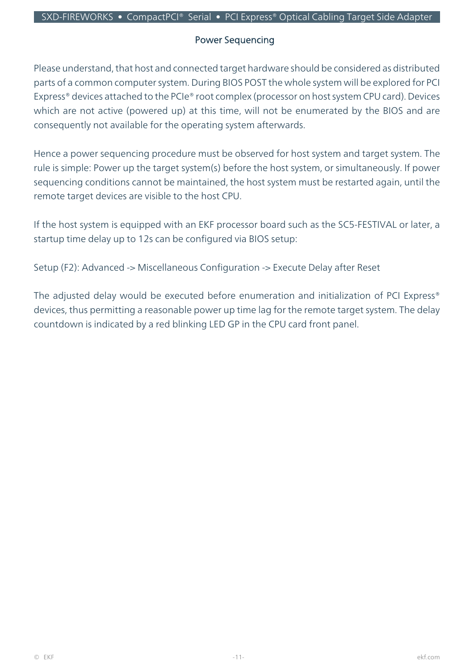#### Power Sequencing

Please understand, that host and connected target hardware should be considered as distributed parts of a common computer system. During BIOS POST the whole system will be explored for PCI Express® devices attached to the PCIe® root complex (processor on host system CPU card). Devices which are not active (powered up) at this time, will not be enumerated by the BIOS and are consequently not available for the operating system afterwards.

Hence a power sequencing procedure must be observed for host system and target system. The rule is simple: Power up the target system(s) before the host system, or simultaneously. If power sequencing conditions cannot be maintained, the host system must be restarted again, until the remote target devices are visible to the host CPU.

If the host system is equipped with an EKF processor board such as the SC5-FESTIVAL or later, a startup time delay up to 12s can be configured via BIOS setup:

Setup (F2): Advanced -> Miscellaneous Configuration -> Execute Delay after Reset

The adjusted delay would be executed before enumeration and initialization of PCI Express® devices, thus permitting a reasonable power up time lag for the remote target system. The delay countdown is indicated by a red blinking LED GP in the CPU card front panel.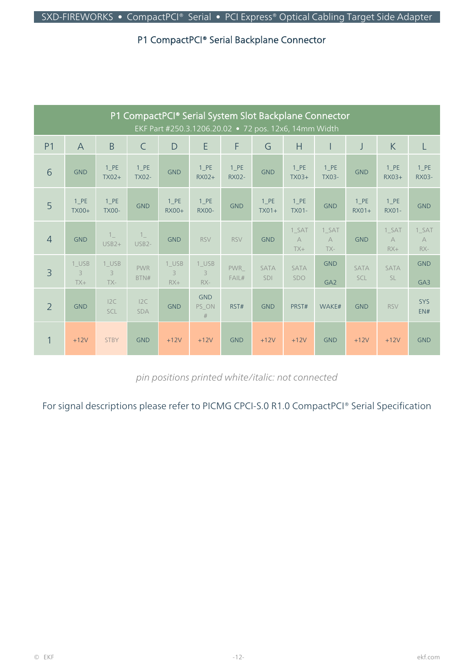P1 CompactPCI® Serial Backplane Connector

| P1 CompactPCI® Serial System Slot Backplane Connector<br>EKF Part #250.3.1206.20.02 • 72 pos. 12x6, 14mm Width |                     |                         |                         |                     |                          |                      |                    |                             |                               |                           |                                                 |                                   |
|----------------------------------------------------------------------------------------------------------------|---------------------|-------------------------|-------------------------|---------------------|--------------------------|----------------------|--------------------|-----------------------------|-------------------------------|---------------------------|-------------------------------------------------|-----------------------------------|
| P <sub>1</sub>                                                                                                 | $\overline{A}$      | B                       | $\subset$               | D                   | E                        | F                    | G                  | H                           | I                             | J                         | K                                               | L                                 |
| 6                                                                                                              | <b>GND</b>          | 1 PE<br>$TX02+$         | $1$ PE<br><b>TX02-</b>  | <b>GND</b>          | 1 PE<br>$RX02+$          | 1 PE<br><b>RX02-</b> | <b>GND</b>         | 1 PE<br>$TX03+$             | 1 PE<br><b>TX03-</b>          | <b>GND</b>                | 1 PE<br>$RX03+$                                 | 1 PE<br><b>RX03-</b>              |
| 5                                                                                                              | 1 PE<br>TX00+       | 1 PE<br><b>TX00-</b>    | <b>GND</b>              | 1 PE<br>RX00+       | 1 PE<br><b>RX00-</b>     | <b>GND</b>           | 1 PE<br>$TX01+$    | 1 PE<br><b>TX01-</b>        | <b>GND</b>                    | 1 PE<br>$RX01+$           | 1 PE<br><b>RX01-</b>                            | <b>GND</b>                        |
| $\overline{4}$                                                                                                 | <b>GND</b>          | $\mathbf{1}$<br>$USB2+$ | 1<br>USB <sub>2</sub> - | <b>GND</b>          | <b>RSV</b>               | <b>RSV</b>           | <b>GND</b>         | 1_SAT<br>$\forall$<br>$TX+$ | 1 SAT<br>$\forall$<br>TX-     | <b>GND</b>                | $1$ <sub>_</sub> SAT<br>$\overline{A}$<br>$RX+$ | 1 SAT<br>$\overline{A}$<br>$RX -$ |
| $\overline{3}$                                                                                                 | 1_USB<br>3<br>$TX+$ | 1 USB<br>3<br>TX-       | <b>PWR</b><br>BTN#      | 1 USB<br>3<br>$RX+$ | $1$ _USB<br>3<br>$RX -$  | <b>PWR</b><br>FAIL#  | <b>SATA</b><br>SDI | <b>SATA</b><br><b>SDO</b>   | <b>GND</b><br>GA <sub>2</sub> | <b>SATA</b><br><b>SCL</b> | <b>SATA</b><br><b>SL</b>                        | <b>GND</b><br>GA3                 |
| $\overline{2}$                                                                                                 | <b>GND</b>          | 12C<br>SCL              | 12C<br><b>SDA</b>       | <b>GND</b>          | <b>GND</b><br>PS ON<br># | RST#                 | <b>GND</b>         | PRST#                       | WAKE#                         | <b>GND</b>                | <b>RSV</b>                                      | SYS<br>EN#                        |
| 1                                                                                                              | $+12V$              | <b>STBY</b>             | <b>GND</b>              | $+12V$              | $+12V$                   | <b>GND</b>           | $+12V$             | $+12V$                      | <b>GND</b>                    | $+12V$                    | $+12V$                                          | <b>GND</b>                        |

pin positions printed white/italic: not connected

For signal descriptions please refer to PICMG CPCI-S.0 R1.0 CompactPCI® Serial Specification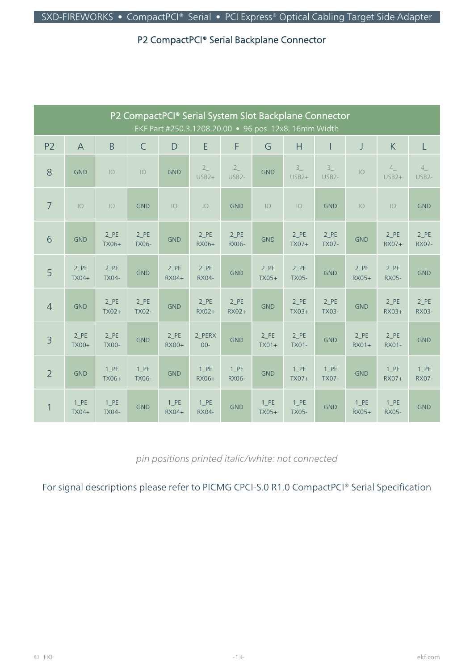P2 CompactPCI® Serial Backplane Connector

| P2 CompactPCI® Serial System Slot Backplane Connector<br>EKF Part #250.3.1208.20.00 • 96 pos. 12x8, 16mm Width |                 |                        |                        |                 |                        |                               |                   |                        |                               |                   |                        |                               |
|----------------------------------------------------------------------------------------------------------------|-----------------|------------------------|------------------------|-----------------|------------------------|-------------------------------|-------------------|------------------------|-------------------------------|-------------------|------------------------|-------------------------------|
| P <sub>2</sub>                                                                                                 | $\overline{A}$  | B                      | $\mathsf{C}$           | D               | E                      | F                             | G                 | H                      | $\vert$                       | J                 | K                      | L                             |
| 8                                                                                                              | <b>GND</b>      | IO                     | IO                     | <b>GND</b>      | $2_{-}$<br>$USB2+$     | $2_{-}$<br>USB <sub>2</sub> - | <b>GND</b>        | $3_{-}$<br>$USB2+$     | $3_{-}$<br>USB <sub>2</sub> - | IO                | 4<br>$USB2+$           | $4_{-}$<br>USB <sub>2</sub> - |
| $\overline{7}$                                                                                                 | IO              | IO                     | <b>GND</b>             | IO              | IO                     | <b>GND</b>                    | IO                | IO                     | <b>GND</b>                    | IO                | IO                     | <b>GND</b>                    |
| 6                                                                                                              | <b>GND</b>      | $2$ PE<br>TX06+        | $2$ PE<br><b>TX06-</b> | <b>GND</b>      | $2$ PE<br>RX06+        | $2$ PE<br><b>RX06-</b>        | <b>GND</b>        | $2$ PE<br>$TX07+$      | $2$ PE<br><b>TX07-</b>        | <b>GND</b>        | $2$ PE<br>RX07+        | $2$ PE<br><b>RX07-</b>        |
| 5                                                                                                              | $2$ PE<br>TX04+ | $2$ PE<br><b>TX04-</b> | <b>GND</b>             | $2$ PE<br>RX04+ | $2$ PE<br><b>RX04-</b> | <b>GND</b>                    | $2$ PE<br>$TX05+$ | $2$ PE<br><b>TX05-</b> | <b>GND</b>                    | $2$ PE<br>RX05+   | $2$ PE<br><b>RX05-</b> | <b>GND</b>                    |
| $\overline{4}$                                                                                                 | <b>GND</b>      | $2$ PE<br>$TX02+$      | $2$ PE<br><b>TX02-</b> | <b>GND</b>      | $2$ PE<br>RX02+        | $2$ PE<br>RX02+               | <b>GND</b>        | $2$ PE<br>$TX03+$      | $2$ PE<br><b>TX03-</b>        | <b>GND</b>        | $2$ PE<br>RX03+        | $2$ PE<br><b>RX03-</b>        |
| 3                                                                                                              | $2$ PE<br>TX00+ | $2$ PE<br><b>TX00-</b> | <b>GND</b>             | $2$ PE<br>RX00+ | 2 PERX<br>$00 -$       | <b>GND</b>                    | $2$ PE<br>$TX01+$ | $2$ PE<br><b>TX01-</b> | <b>GND</b>                    | $2$ PE<br>$RX01+$ | $2$ PE<br><b>RX01-</b> | <b>GND</b>                    |
| $\overline{2}$                                                                                                 | <b>GND</b>      | 1 PE<br>TX06+          | $1$ PE<br><b>TX06-</b> | <b>GND</b>      | 1 PE<br>RX06+          | 1 PE<br><b>RX06-</b>          | <b>GND</b>        | $1$ PE<br>$TX07+$      | 1 PE<br><b>TX07-</b>          | <b>GND</b>        | 1 PE<br>RX07+          | 1 PE<br><b>RX07-</b>          |
| 1                                                                                                              | 1 PE<br>TX04+   | 1 PE<br><b>TX04-</b>   | <b>GND</b>             | 1 PE<br>RX04+   | 1 PE<br><b>RX04-</b>   | <b>GND</b>                    | 1 PE<br>TX05+     | $1$ PE<br><b>TX05-</b> | <b>GND</b>                    | 1 PE<br>RX05+     | $1$ PE<br><b>RX05-</b> | <b>GND</b>                    |

pin positions printed italic/white: not connected

For signal descriptions please refer to PICMG CPCI-S.0 R1.0 CompactPCI® Serial Specification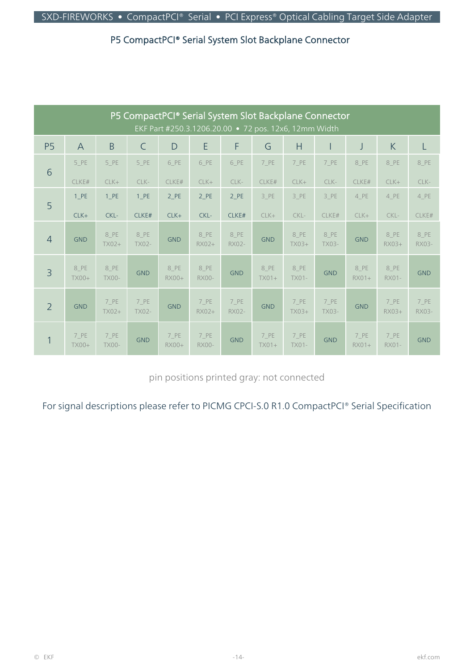P5 CompactPCI® Serial System Slot Backplane Connector

| P5 CompactPCI® Serial System Slot Backplane Connector<br>EKF Part #250.3.1206.20.00 • 72 pos. 12x6, 12mm Width |                |                      |                      |               |                      |                        |                   |                   |                        |                 |                 |                        |
|----------------------------------------------------------------------------------------------------------------|----------------|----------------------|----------------------|---------------|----------------------|------------------------|-------------------|-------------------|------------------------|-----------------|-----------------|------------------------|
| <b>P5</b>                                                                                                      | $\overline{A}$ | B                    | $\subset$            | D             | E                    | F                      | G                 | H                 |                        | J               | K               | L                      |
| 6                                                                                                              | 5 PE           | 5 PE                 | 5 PE                 | 6 PE          | 6 PE                 | 6 PE                   | 7 PE              | 7 PE              | 7 PE                   | 8 PE            | 8 PE            | 8_PE                   |
|                                                                                                                | CLKE#          | $CLK+$               | CLK-                 | CLKE#         | $CLK+$               | CLK-                   | CLKE#             | $CLK+$            | CLK-                   | CLKE#           | $CLK+$          | CLK-                   |
|                                                                                                                | $1$ PE         | 1 PE                 | 1 PE                 | 2 PE          | $2$ PE               | $2$ PE                 | 3 PE              | 3 PE              | 3 PE                   | 4 PE            | 4 PE            | 4 PE                   |
| 5                                                                                                              | $CLK+$         | CKL-                 | CLKE#                | $CLK+$        | CKL-                 | CLKE#                  | $CLK+$            | CKL-              | CLKE#                  | $CLK+$          | CKL-            | CLKE#                  |
| $\overline{4}$                                                                                                 | <b>GND</b>     | 8 PE<br>$TX02+$      | 8 PE<br><b>TX02-</b> | <b>GND</b>    | 8 PE<br>RX02+        | 8 PE<br><b>RX02-</b>   | <b>GND</b>        | 8 PE<br>$TX03+$   | 8 PE<br><b>TX03-</b>   | <b>GND</b>      | 8 PE<br>RX03+   | 8 PE<br><b>RX03-</b>   |
| $\overline{3}$                                                                                                 | 8 PE<br>TX00+  | 8 PE<br><b>TX00-</b> | <b>GND</b>           | 8 PE<br>RX00+ | 8 PE<br><b>RX00-</b> | <b>GND</b>             | 8 PE<br>$TX01+$   | 8 PE<br>$TX01-$   | <b>GND</b>             | 8 PE<br>$RX01+$ | 8 PE<br>RX01-   | <b>GND</b>             |
| $\mathcal{P}$                                                                                                  | <b>GND</b>     | 7 PE<br>$TX02+$      | 7 PE<br><b>TX02-</b> | <b>GND</b>    | $7$ $PE$<br>RX02+    | $7$ PE<br><b>RX02-</b> | <b>GND</b>        | $7$ PE<br>$TX03+$ | $7$ PE<br><b>TX03-</b> | <b>GND</b>      | $7$ PE<br>RX03+ | $7$ PE<br><b>RX03-</b> |
| 1                                                                                                              | 7 PE<br>TX00+  | 7 PE<br><b>TX00-</b> | <b>GND</b>           | 7 PE<br>RX00+ | 7 PE<br><b>RX00-</b> | <b>GND</b>             | $7$ PE<br>$TX01+$ | 7 PE<br>$TX01-$   | <b>GND</b>             | 7 PE<br>$RX01+$ | 7 PE<br>RX01-   | <b>GND</b>             |

pin positions printed gray: not connected

For signal descriptions please refer to PICMG CPCI-S.0 R1.0 CompactPCI® Serial Specification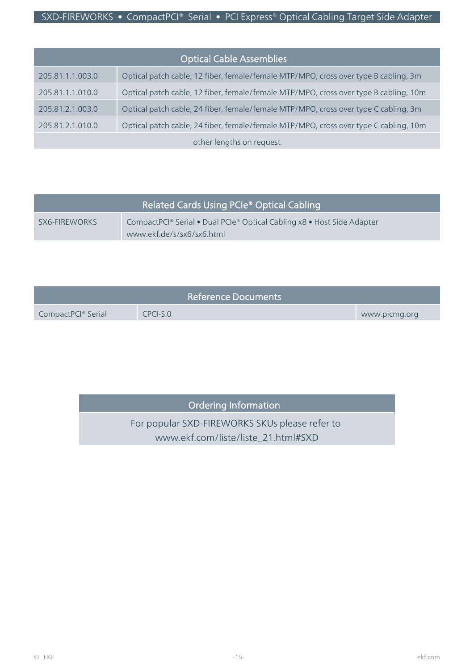| <b>Optical Cable Assemblies</b> |                                                                                      |  |  |  |  |  |  |
|---------------------------------|--------------------------------------------------------------------------------------|--|--|--|--|--|--|
| 205.81.1.1.003.0                | Optical patch cable, 12 fiber, female/female MTP/MPO, cross over type B cabling, 3m  |  |  |  |  |  |  |
| 205.81.1.1.010.0                | Optical patch cable, 12 fiber, female/female MTP/MPO, cross over type B cabling, 10m |  |  |  |  |  |  |
| 205.81.2.1.003.0                | Optical patch cable, 24 fiber, female/female MTP/MPO, cross over type C cabling, 3m  |  |  |  |  |  |  |
| 205.81.2.1.010.0                | Optical patch cable, 24 fiber, female/female MTP/MPO, cross over type C cabling, 10m |  |  |  |  |  |  |
|                                 | other lengths on request                                                             |  |  |  |  |  |  |

|               | Related Cards Using PCIe <sup>®</sup> Optical Cabling                                               |
|---------------|-----------------------------------------------------------------------------------------------------|
| SX6-FIREWORKS | CompactPCI® Serial • Dual PCIe® Optical Cabling x8 • Host Side Adapter<br>www.ekf.de/s/sx6/sx6.html |

| Reference Documents            |          |               |  |  |  |  |  |  |
|--------------------------------|----------|---------------|--|--|--|--|--|--|
| CompactPCI <sup>®</sup> Serial | CPCI-S.O | www.picmg.org |  |  |  |  |  |  |

|  | Ordering Information |
|--|----------------------|
|  |                      |

For popular SXD-FIREWORKS SKUs please refer to www.ekf.com/liste/liste\_21.html#SXD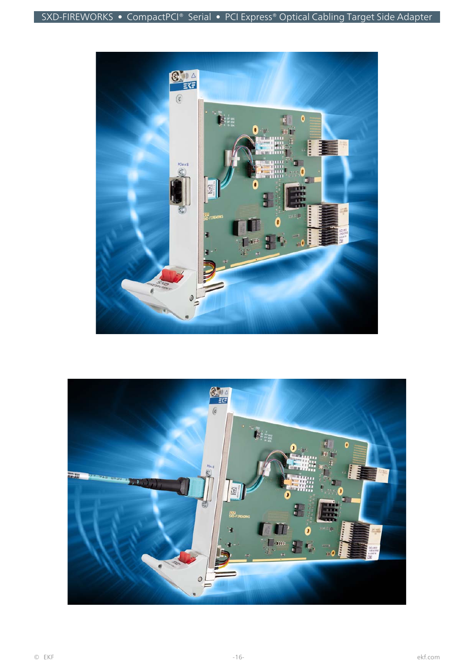

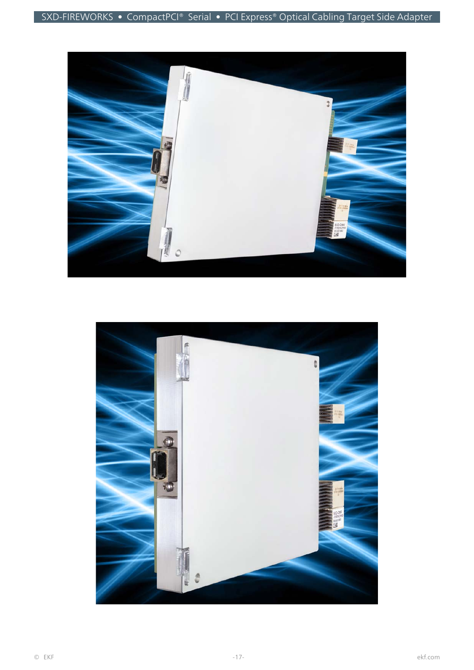



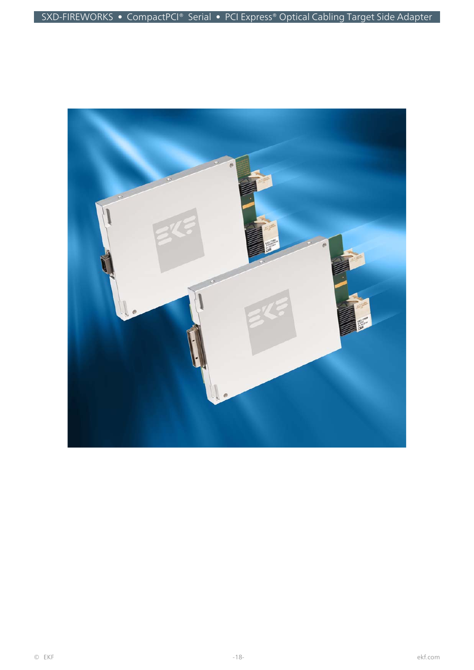